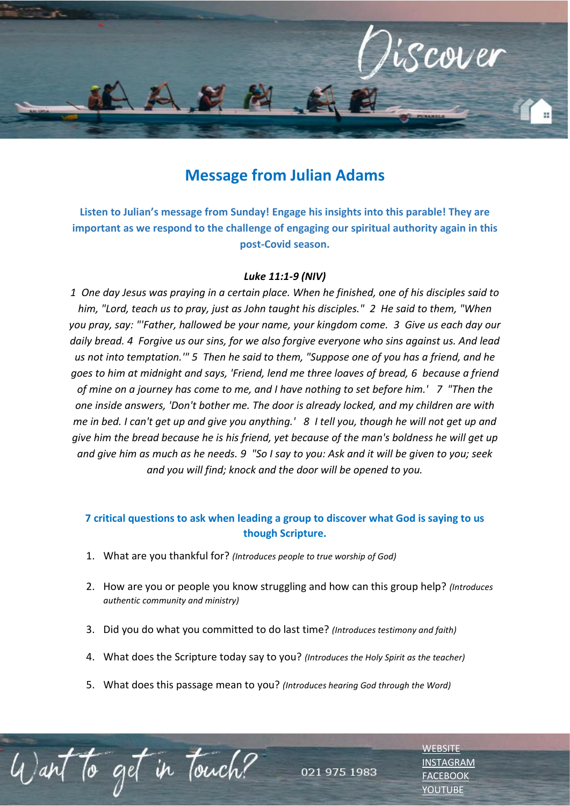

## **Message from Julian Adams**

**Listen to Julian's message from Sunday! Engage his insights into this parable! They are important as we respond to the challenge of engaging our spiritual authority again in this post-Covid season.**

## *Luke 11:1-9 (NIV)*

*1 One day Jesus was praying in a certain place. When he finished, one of his disciples said to him, "Lord, teach us to pray, just as John taught his disciples." 2 He said to them, "When you pray, say: "'Father, hallowed be your name, your kingdom come. 3 Give us each day our daily bread. 4 Forgive us our sins, for we also forgive everyone who sins against us. And lead us not into temptation.'" 5 Then he said to them, "Suppose one of you has a friend, and he goes to him at midnight and says, 'Friend, lend me three loaves of bread, 6 because a friend of mine on a journey has come to me, and I have nothing to set before him.' 7 "Then the one inside answers, 'Don't bother me. The door is already locked, and my children are with me in bed. I can't get up and give you anything.' 8 I tell you, though he will not get up and give him the bread because he is his friend, yet because of the man's boldness he will get up and give him as much as he needs. 9 "So I say to you: Ask and it will be given to you; seek and you will find; knock and the door will be opened to you.* 

## **7 critical questions to ask when leading a group to discover what God is saying to us though Scripture.**

1. What are you thankful for? *(Introduces people to true worship of God)*

to get in Touch?

2. How are you or people you know struggling and how can this group help? *(Introduces authentic community and ministry)*

021 975 1983

- 3. Did you do what you committed to do last time? *(Introduces testimony and faith)*
- 4. What does the Scripture today say to you? *(Introduces the Holy Spirit as the teacher)*
- 5. What does this passage mean to you? *(Introduces hearing God through the Word)*

**[WEBSITE](http://www.escc.co.za/)** [INSTAGRAM](https://www.instagram.com/esccdurbanville/) [FACEBOOK](https://www.facebook.com/escc.za) [YOUTUBE](https://www.youtube.com/c/ESCCDurbanvilleV)